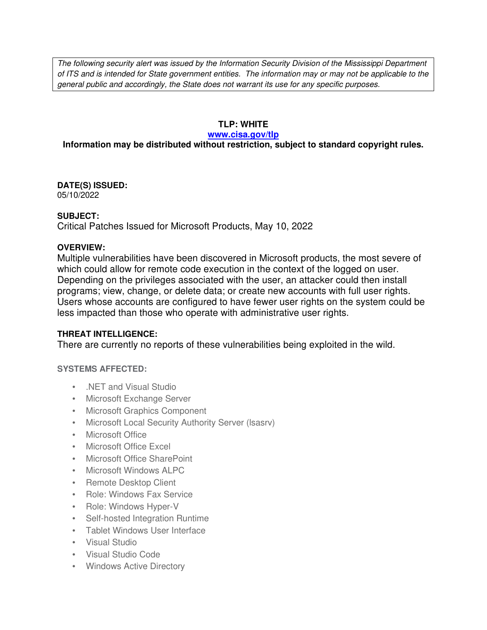The following security alert was issued by the Information Security Division of the Mississippi Department of ITS and is intended for State government entities. The information may or may not be applicable to the general public and accordingly, the State does not warrant its use for any specific purposes.

## **TLP: WHITE**

#### **www.cisa.gov/tlp**

# **Information may be distributed without restriction, subject to standard copyright rules.**

**DATE(S) ISSUED:** 05/10/2022

## **SUBJECT:**

Critical Patches Issued for Microsoft Products, May 10, 2022

### **OVERVIEW:**

Multiple vulnerabilities have been discovered in Microsoft products, the most severe of which could allow for remote code execution in the context of the logged on user. Depending on the privileges associated with the user, an attacker could then install programs; view, change, or delete data; or create new accounts with full user rights. Users whose accounts are configured to have fewer user rights on the system could be less impacted than those who operate with administrative user rights.

## **THREAT INTELLIGENCE:**

There are currently no reports of these vulnerabilities being exploited in the wild.

## **SYSTEMS AFFECTED:**

- NFT and Visual Studio
- Microsoft Exchange Server
- Microsoft Graphics Component
- Microsoft Local Security Authority Server (lsasrv)
- Microsoft Office
- Microsoft Office Excel
- Microsoft Office SharePoint
- Microsoft Windows ALPC
- Remote Desktop Client
- Role: Windows Fax Service
- Role: Windows Hyper-V
- Self-hosted Integration Runtime
- Tablet Windows User Interface
- Visual Studio
- Visual Studio Code
- Windows Active Directory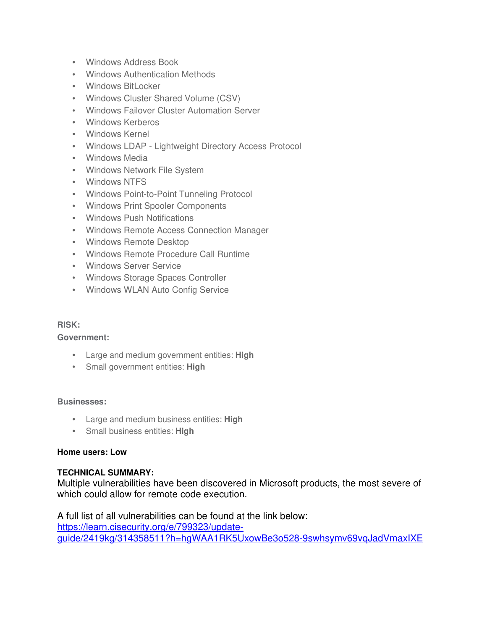- Windows Address Book
- Windows Authentication Methods
- Windows BitLocker
- Windows Cluster Shared Volume (CSV)
- Windows Failover Cluster Automation Server
- Windows Kerberos
- Windows Kernel
- Windows LDAP Lightweight Directory Access Protocol
- Windows Media
- Windows Network File System
- Windows NTFS
- Windows Point-to-Point Tunneling Protocol
- Windows Print Spooler Components
- Windows Push Notifications
- Windows Remote Access Connection Manager
- Windows Remote Desktop
- Windows Remote Procedure Call Runtime
- Windows Server Service
- Windows Storage Spaces Controller
- Windows WLAN Auto Config Service

## **RISK:**

**Government:**

- Large and medium government entities: **High**
- Small government entities: **High**

#### **Businesses:**

- Large and medium business entities: **High**
- Small business entities: **High**

#### **Home users: Low**

## **TECHNICAL SUMMARY:**

Multiple vulnerabilities have been discovered in Microsoft products, the most severe of which could allow for remote code execution.

A full list of all vulnerabilities can be found at the link below: https://learn.cisecurity.org/e/799323/updateguide/2419kg/314358511?h=hgWAA1RK5UxowBe3o528-9swhsymv69vqJadVmaxIXE